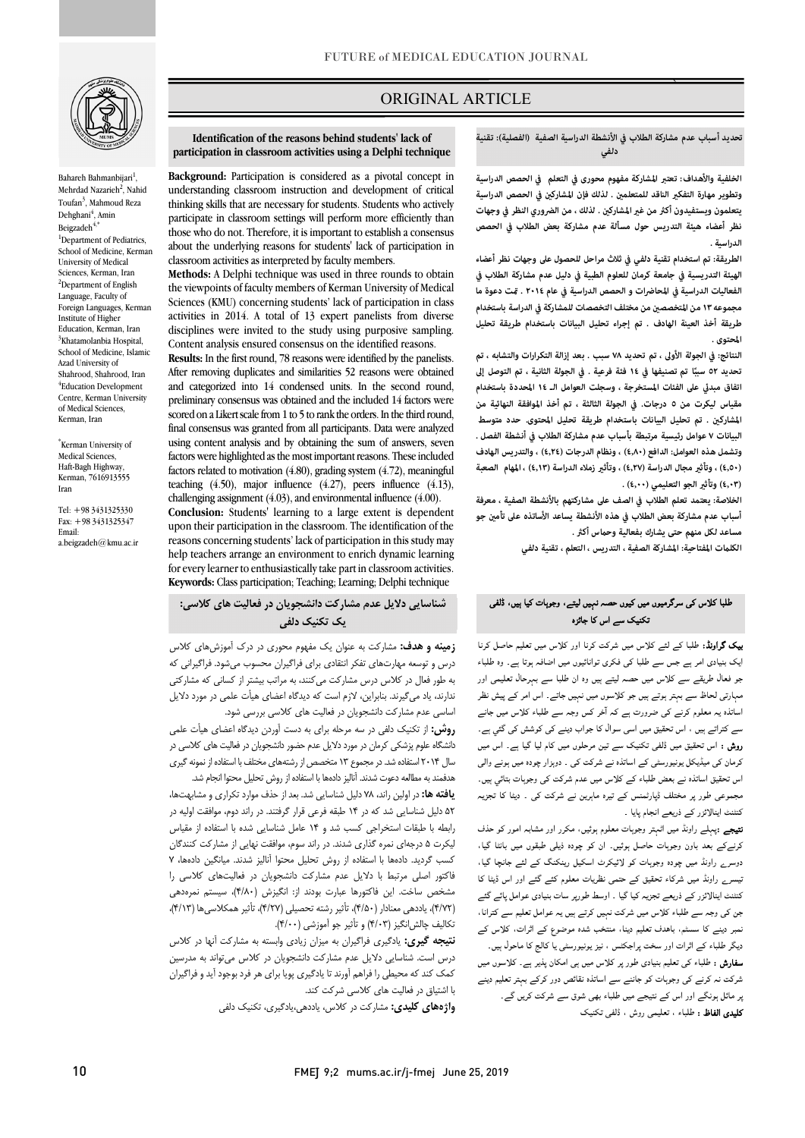

Bahareh Bahmanbijari<sup>1</sup> , Mehrdad Nazarieh<sup>2</sup>, Nahid Toufan<sup>3</sup>, Mahmoud Reza Dehghani<sup>4</sup>, Amin Beigzadeh $4,4$ <sup>1</sup>Department of Pediatrics, School of Medicine, Kerman University of Medical Sciences, Kerman, Iran <sup>2</sup>Department of English Language, Faculty of Foreign Languages, Kerman Institute of Higher Education, Kerman, Iran <sup>3</sup>Khatamolanbia Hospital, School of Medicine, Islamic Azad University of Shahrood, Shahrood, Iran 4 Education Development Centre, Kerman University of Medical Sciences, Kerman, Iran

\* Kerman University of Medical Sciences, Haft-Bagh Highway, Kerman, 7616913555 Iran

Tel: +98 3431325330 Fax: +98 3431325347 Email: a.beigzadeh@kmu.ac.ir

# ORIGINAL ARTICLE

 **تحديد أسباب عدم مشاركة الطلاب في الأنشطة الدراسية الصفية (الفصلية): تقنية دلفي**

`ص  $\overline{a}$ 

 **الخلفية والأهداف: تعتبر المشاركة مفهوم محورى في التعلم في الحصص الدراسية**  ر م<sub>ند</sub>ر في رسمي.<br>يتعلمون ويستفيدون أكثر من غير المشاركين . لذلك ، من الضروري النظر في وجهات **نظر أعضاء هيئة التدريس حول مسألة عدم مشاركة بعض الطلاب في الحصص**  وتطوير مهارة التفكير الناقد للمتعلمين . لذلك فإن المشاركين في الحصص الدراسية **الدراسية .** 

 **الطريقة: تم استخدام تقنية دلفي في ثلاث مراحل للحصول على وجهات نظر أعضاء الهيئة التدريسية في جامعة كرمان للعلوم الطبية في دليل عدم مشاركة الطلاب في مجموعه ١٣من المتخصص من مختلف التخصصات للمشاركة في الدراسة باستخدام طريقة أخذ العينة الهادف . تم إجراء تحليل البيانات باستخدام طريقة تحليل الفعاليات الدراسية في المحاضرات و الحصص الدراسية في عام ٢٠١٤ . ت دعوة ما المحتوى .** 

 **النتائج: في الجولة الأولى ، تم تحديد ٧٨ سبب . بعد إزالة التكرارات والتشابه ، تم اتفاق مبد على الفئات المستخرجة ، وسجلت العوامل الـ ١٤ المحددة باستخدام مقياس ليكرت من ٥ درجات. في الجولة الثالثة ، تم أخذ الموافقة النهائية من المشارك . تم تحليل البيانات باستخدام طريقة تحليل المحتوى. حدد متوسط البيانات ٧ عوامل رئيسية مرتبطة بأسباب عدم مشاركة الطلاب في أنشطة الفصل . وتشمل هذه العوامل: الدافع (٤٫٨٠) ، ونظام الدرجات (٤٫٢٤) ، والتدريس الهادف (٤٫٥٠) ، وتأث مجال الدراسة (٤٫٢٧) ، وتأث زملاء الدراسة (٤٫١٣) ، المهام الصعبة سبب ١٤ فئة فرعية . في الجولة الثانية ، تم التوصل إلى ً تحديد ٥٢ ا تم تصنيفها في**  (٤,**٠**٣) وتأثير الجو التعليمي (٤,٠٠) .

 **الخلاصة: يعتمد تعلم الطلاب في الصف على مشاركتهم بالأنشطة الصفية ، معرفة**  <sup>أ</sup>سباب عدم مشاركة بعض الطلاب في هذه الأنشطة يساعد الأساتذه على تأمين جو مساعد لكل منهم حتى يشارك بفعالية وحماس أكثر .

**الكلت المفتاحية: المشاركة الصفية ، التدريس ، التعلم ، تقنية دلفي** 

#### j طلبا کلاس کی سرگرمیوں میں کیوں حصہ نہیں لیتے، وجوہات کیا ہیں، ڈلفی<br>میں مسلم کے سرگرمیوں میں اسکار اور تکنیک سے اس کا جائزہ

**یک گراونڈ:** طلبا کے لئے کلاس میں شرکت کرنا اور کلاس میں تعلیم حاصل کرنا<br>۔ ل س وہ ان ل اور ۔<br>مہارتی لحاظ سے بہتر ہوتے ہیں جو کلاسوں میں نہیں جاتے۔ اس امر کے پیش نظر اساتذہ یہ معلوم کرنے کی ضرورت ہے کہ آخر کس وجہ سے طلباء کلاس میں جانے سے کتراتے ہیں ، اس تحقیق میں اسی سوال کا جواب دینے کی کوشش کی گئي ہے۔ ر**وش :** اس تحقیق میں ڈلفی تکنیک سے تین مرحلوں میں کام لیا گیا ہے۔ اس میں<br>۔ برساں سی میدیمن پریپورٹسی نے ،ساندہ نے سریت نبی ۔ دوہرار چونہ میں ہونے وابی<br>اس تحقیق اساتذہ نے بعض طلباء کے کلاس میں عدم شرکت کی وجوہات بتائي ہیں۔ ں میں سے سے سے سے سے سے سے سے سے سے ہے ۔<br>مجموعی طور پر مختلف ڈپارٹمنس کے تیرہ ماہرین نے شرکت کی ۔ دیٹا کا تجزیہ کنٹنٹ اینالائزر کے ذریعے انجام پایا ۔ ایک بنیادی امر ہے جس سے طلبا کی فکری توانائیوں میں اضافہ ہوتا ہے۔ وہ طلباء کرمان کی میڈیکل یونیورسٹی کے اساتذہ نے شرکت کی ۔ دوہزار چودہ میں ہونے والی

**تیچے :**پہلے راونڈ میں اٹہتر وجوہات معلوم ہوئیں، مکرر اور مشابہ امور کو حذف کرنےکے بعد باون وجوہات حاصل ہوئیں۔ ان کو چودہ ذیلی طبقوں میں بانٹا گیا، دوسرے راونڈ میں چودہ وجوہات کو لائیکرٹ اسکیل رینکنگ کے لئے جانچا گیا، نیسر<sub>ے</sub> راونڈ میں شرکاء تحقیق کے حتمی نظریات معلوم کئے گئے اور اس ڈیٹا کا<br>۔۔۔۔۔۔۔۔۔۔۔۔۔۔۔۔۔۔۔۔۔۔۔۔۔۔۔۔۔۔۔۔ و ء س ا ا، ۔<br><sub>ن</sub>مبر دینے کا سسٹم، باہدف تعلیم دینا، منتخب شدہ موضوع کے اثرات، کلاس کے دیگر طلباء کے اثرات اور سخت پراجکٹس ، نیز یونیورسٹی یا کالج کا ماحول ہیں۔ **سفارش :** طلباء کی تعلیم بنیادی طور پر کلاس میں ہی امکان پذیر ہے۔ کلاسوں میں شرکت نہ کرنے کی وجوہات کو جاننے سے اساتذہ نقائص دور کرکے بہتر تعلیم دینے <sub>ب</sub>ر مائل ہونگے اور اس کے نتیجے میں طلباء بھی شوق سے شرکت کریں گے۔<br>. **کلیدی الفاظ :** طلباء ، تعلیمی روش ، ڈلفی تکنیک<br>۔ کنٹنٹ اینالائزر کے ذریعے تجزیہ کیا گیا ۔ اوسط طورپر سات بنیادی عوامل پائے گئے

 **Identification of the reasons behind students' lack of participation in classroom activities using a Delphi technique**

i

 understanding classroom instruction and development of critical thinking skills that are necessary for students. Students who actively participate in classroom settings will perform more efficiently than about the underlying reasons for students' lack of participation in classroom activities as interpreted by faculty members. **Background:** Participation is considered as a pivotal concept in those who do not. Therefore, it is important to establish a consensus

 the viewpoints of faculty members of Kerman University of Medical Sciences (KMU) concerning students' lack of participation in class activities in 2014. A total of 13 expert panelists from diverse Content analysis ensured consensus on the identified reasons. **Methods:** A Delphi technique was used in three rounds to obtain disciplines were invited to the study using purposive sampling.

 **Results:** In the first round, 78 reasons were identified by the panelists. After removing duplicates and similarities 52 reasons were obtained preliminary consensus was obtained and the included 14 factors were scored on a Likert scale from 1 to 5 to rank the orders. In the third round, using content analysis and by obtaining the sum of answers, seven factors were highlighted as the most important reasons. These included factors related to motivation  $(4.80)$ , grading system  $(4.72)$ , meaningful challenging assignment (4.03), and environmental influence (4.00). **Conclusion:** Students' learning to a large extent is dependent reasons concerning students' lack of participation in this study may help teachers arrange an environment to enrich dynamic learning for every learner to enthusiastically take part in classroom activities. and categorized into 14 condensed units. In the second round, final consensus was granted from all participants. Data were analyzed teaching (4.50), major influence (4.27), peers influence (4.13), upon their participation in the classroom. The identification of the **Keywords:** Class participation; Teaching; Learning; Delphi technique

 **شناسایی دلایل عدم مشارکت دانشجویان در فعالیت هاي کلاسی: یک تکنیک دلفی**

<sub>ک</sub>ت کرنا اور کلاس میں تعلیم حاصل کرنا **په از هینه و هدف:** مشارکت به عنوان یک مفهوم محوری در درک آموزش،های کلاس برس و بوسته مهارتسای شمر استادی برای ترابیران مخسوب میسود. ترابیرانی که<br>به طور فعال در کلاس درس مشارکت میکنند، به مراتب بیشتر از کسانی که مشارکتی ندارند، یاد میگیرند. بنابراین، لازم است که دیدگاه اعضاي هیأت علمی در مورد دلایل اساسی عدم مشارکت دانشجویان در فعالیت هاي کلاسی بررسی شود. درس و توسعه مهارتهاي تفکر انتقادي براي فراگیران محسوب میشود. فراگیرانی که

 **روش:** از تکنیک دلفی در سه مرحله براي به دست آوردن دیدگاه اعضاي هیأت علمی دانشگاه علوم پزشکی کرمان در مورد دلایل عدم حضور دانشجویان در فعالیت هاي کلاسی در سال 2014 استفاده شد. در مجموع 13 متخصص از رشتههاي مختلف با استفاده از نمونه گیري هدفمند به مطالعه دعوت شدند. آنالیز دادهها با استفاده از روش تحلیل محتوا انجام شد.

 **یافته ها:** در اولین راند، 78 دلیل شناسایی شد. بعد از حذف موارد تکراري و مشابهتها، 52 دلیل شناسایی شد که در 14 طبقه فرعی قرار گرفتند. در راند دوم، موافقت اولیه در رابطه با طبقات استخراجی کسب شد و 14 عامل شناسایی شده با استفاده از مقیاس لیکرت 5 درجهاي نمره گذاري شدند. در راند سوم، موافقت نهایی از مشارکت کنندگان کسب گردید. دادهها با استفاده از روش تحلیل محتوا آنالیز شدند. میانگین دادهها، 7 رر میں در این این است اور است کے استعمارت استعمارت استعمارت کے استعمارت کر<br>مشخص ساخت. این فاکتورها عبارت بودند از: انگیزش (۴/۸۰)، سیستم نمرهدهی (4/72)، یاددهی معنادار (4/50)، تأثیر رشته تحصیلی (4/27)، تأثیر همکلاسیها (4/13)، تکالیف چالشانگیز (4/03) و تأثیر جو آموزشی (4/00). فاکتور اصلی مرتبط با دلایل عدم مشارکت دانشجویان در فعالیتهاي کلاسی را

 **نتیجه گیري:** یادگیري فراگیران به میزان زیادي وابسته به مشارکت آنها در کلاس درس است. شناسایی دلایل عدم مشارکت دانشجویان در کلاس میتواند به مدرسین با اشتیاق در فعالیت هاي کلاسی شرکت کند. کمک کند که محیطی را فراهم آورند تا یادگیري پویا براي هر فرد بوجود آید و فراگیران

**واژههاي کلیدي:** مشارکت در کلاس، یاددهی،یادگیري، تکنیک دلفی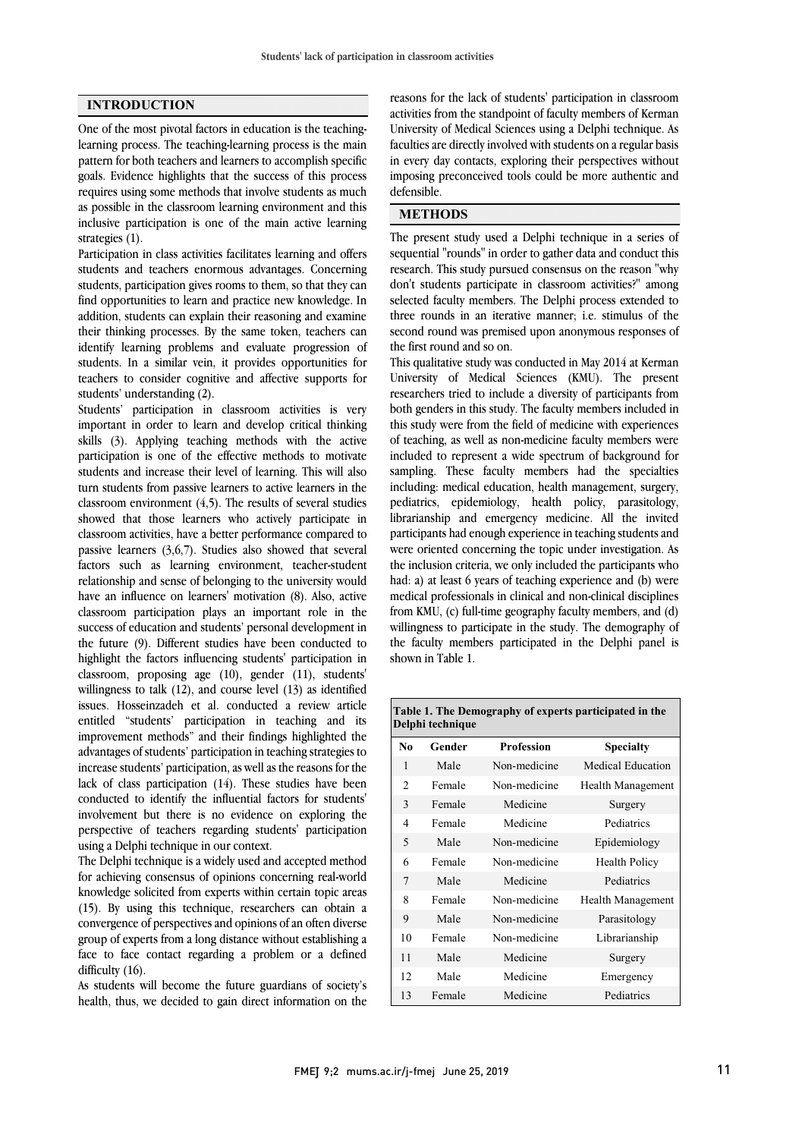## **INTRODUCTION**

One of the most pivotal factors in education is the teachinglearning process. The teaching-learning process is the main pattern for both teachers and learners to accomplish specific goals. Evidence highlights that the success of this process requires using some methods that involve students as much as possible in the classroom learning environment and this inclusive participation is one of the main active learning strategies (1).

Participation in class activities facilitates learning and offers students and teachers enormous advantages. Concerning students, participation gives rooms to them, so that they can find opportunities to learn and practice new knowledge. In addition, students can explain their reasoning and examine their thinking processes. By the same token, teachers can identify learning problems and evaluate progression of students. In a similar vein, it provides opportunities for teachers to consider cognitive and affective supports for students' understanding (2).

Students' participation in classroom activities is very important in order to learn and develop critical thinking skills (3). Applying teaching methods with the active participation is one of the effective methods to motivate students and increase their level of learning. This will also turn students from passive learners to active learners in the classroom environment  $(4,5)$ . The results of several studies showed that those learners who actively participate in classroom activities, have a better performance compared to passive learners (3,6,7). Studies also showed that several factors such as learning environment, teacher-student relationship and sense of belonging to the university would have an influence on learners' motivation (8). Also, active classroom participation plays an important role in the success of education and students' personal development in the future (9). Different studies have been conducted to highlight the factors influencing students' participation in classroom, proposing age (10), gender (11), students' willingness to talk (12), and course level (13) as identified issues. Hosseinzadeh et al. conducted a review article entitled "students' participation in teaching and its improvement methods" and their findings highlighted the advantages of students' participation in teaching strategies to increase students' participation, as well as the reasons for the lack of class participation (14). These studies have been conducted to identify the influential factors for students' involvement but there is no evidence on exploring the perspective of teachers regarding students' participation using a Delphi technique in our context.

The Delphi technique is a widely used and accepted method for achieving consensus of opinions concerning real-world knowledge solicited from experts within certain topic areas (15). By using this technique, researchers can obtain a convergence of perspectives and opinions of an often diverse group of experts from a long distance without establishing a face to face contact regarding a problem or a defined difficulty  $(16)$ .

As students will become the future guardians of society's health, thus, we decided to gain direct information on the

 activities from the standpoint of faculty members of Kerman University of Medical Sciences using a Delphi technique. As faculties are directly involved with students on a regular basis in every day contacts, exploring their perspectives without mposing p<br>defensible. reasons for the lack of students' participation in classroom imposing preconceived tools could be more authentic and

## l, **METHODS**

 The present study used a Delphi technique in a series of research. This study pursued consensus on the reason "why don't students participate in classroom activities?" among selected faculty members. The Delphi process extended to three rounds in an iterative manner; i.e. stimulus of the the first round and so on. sequential "rounds" in order to gather data and conduct this second round was premised upon anonymous responses of

 This qualitative study was conducted in May 2014 at Kerman University of Medical Sciences (KMU). The present researchers tried to include a diversity of participants from this study were from the field of medicine with experiences of teaching, as well as non-medicine faculty members were included to represent a wide spectrum of background for sampling. These faculty members had the specialties pediatrics, epidemiology, health policy, parasitology, librarianship and emergency medicine. All the invited participants had enough experience in teaching students and were oriented concerning the topic under investigation. As had: a) at least 6 years of teaching experience and (b) were medical professionals in clinical and non-clinical disciplines from KMU, (c) full-time geography faculty members, and (d) willingness to participate in the study. The demography of shown in Table 1. both genders in this study. The faculty members included in including: medical education, health management, surgery, the inclusion criteria, we only included the participants who the faculty members participated in the Delphi panel is

| Delphi technique |        |                   |                   |  |
|------------------|--------|-------------------|-------------------|--|
| No               | Gender | <b>Profession</b> | <b>Specialty</b>  |  |
| 1                | Male   | Non-medicine      | Medical Education |  |
| $\overline{c}$   | Female | Non-medicine      | Health Management |  |
| 3                | Female | Medicine          | Surgery           |  |
| 4                | Female | Medicine          | Pediatrics        |  |
| 5                | Male   | Non-medicine      | Epidemiology      |  |
| 6                | Female | Non-medicine      | Health Policy     |  |
| 7                | Male   | Medicine          | Pediatrics        |  |
| 8                | Female | Non-medicine      | Health Management |  |
| 9                | Male   | Non-medicine      | Parasitology      |  |
| 10               | Female | Non-medicine      | Librarianship     |  |
| 11               | Male   | Medicine          | Surgery           |  |
| 12               | Male   | Medicine          | Emergency         |  |
| 13               | Female | Medicine          | Pediatrics        |  |

**Table 1. The Demography of experts participated in the**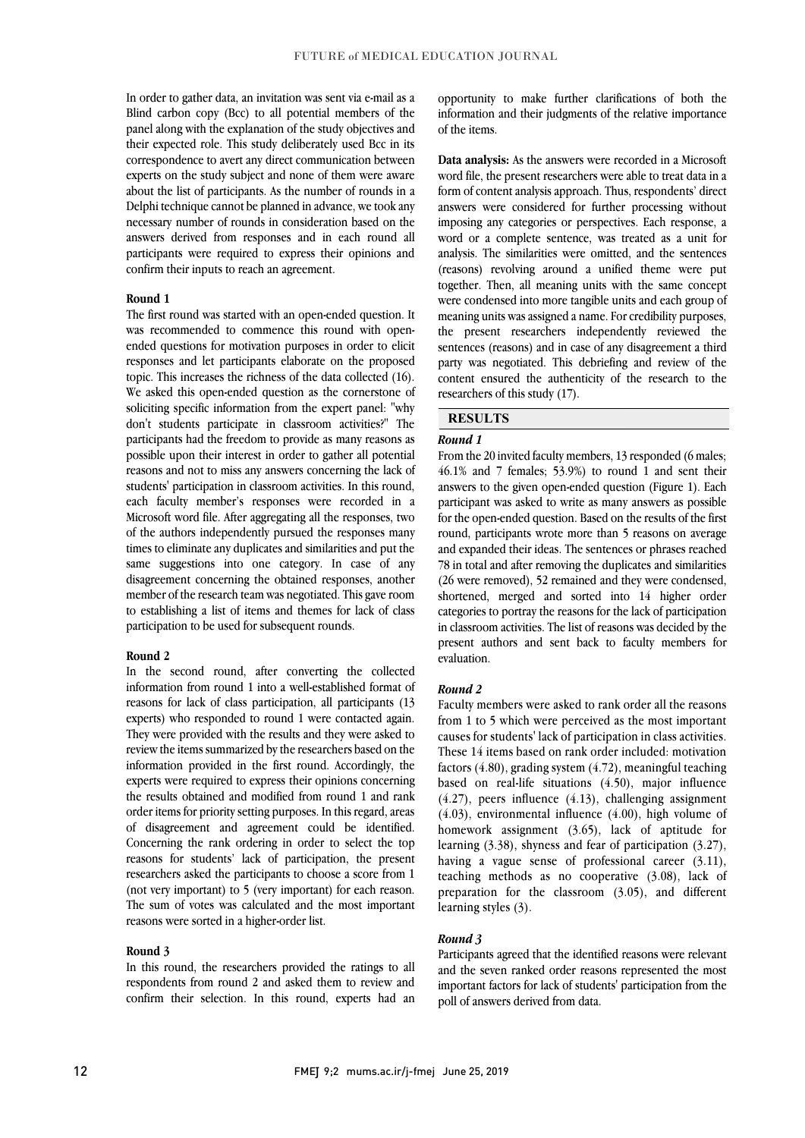Blind carbon copy (Bcc) to all potential members of the panel along with the explanation of the study objectives and their expected role. This study deliberately used Bcc in its correspondence to avert any direct communication between about the list of participants. As the number of rounds in a Delphi technique cannot be planned in advance, we took any necessary number of rounds in consideration based on the answers derived from responses and in each round all participants were required to express their opinions and In order to gather data, an invitation was sent via e-mail as a experts on the study subject and none of them were aware confirm their inputs to reach an agreement.

#### **Round 1**

 The first round was started with an open-ended question. It ended questions for motivation purposes in order to elicit responses and let participants elaborate on the proposed topic. This increases the richness of the data collected (16). We asked this open-ended question as the cornerstone of don't students participate in classroom activities?" The participants had the freedom to provide as many reasons as possible upon their interest in order to gather all potential reasons and not to miss any answers concerning the lack of each faculty member's responses were recorded in a Microsoft word file. After aggregating all the responses, two of the authors independently pursued the responses many times to eliminate any duplicates and similarities and put the disagreement concerning the obtained responses, another member of the research team was negotiated. This gave room to establishing a list of items and themes for lack of class was recommended to commence this round with opensoliciting specific information from the expert panel: "why students' participation in classroom activities. In this round, same suggestions into one category. In case of any participation to be used for subsequent rounds.

### **Round 2**

 In the second round, after converting the collected information from round 1 into a well-established format of reasons for lack of class participation, all participants (13 They were provided with the results and they were asked to review the items summarized by the researchers based on the information provided in the first round. Accordingly, the the results obtained and modified from round 1 and rank order items for priority setting purposes. In this regard, areas of disagreement and agreement could be identified. Concerning the rank ordering in order to select the top reasons for students' lack of participation, the present (not very important) to 5 (very important) for each reason. The sum of votes was calculated and the most important experts) who responded to round 1 were contacted again. experts were required to express their opinions concerning researchers asked the participants to choose a score from 1 reasons were sorted in a higher-order list.

#### **Round 3**

 In this round, the researchers provided the ratings to all respondents from round 2 and asked them to review and confirm their selection. In this round, experts had an

 information and their judgments of the relative importance opportunity to make further clarifications of both the of the items.

 **Data analysis:** As the answers were recorded in a Microsoft form of content analysis approach. Thus, respondents' direct answers were considered for further processing without imposing any categories or perspectives. Each response, a word or a complete sentence, was treated as a unit for (reasons) revolving around a unified theme were put together. Then, all meaning units with the same concept were condensed into more tangible units and each group of meaning units was assigned a name. For credibility purposes, sentences (reasons) and in case of any disagreement a third party was negotiated. This debriefing and review of the content ensured the authenticity of the research to the word file, the present researchers were able to treat data in a analysis. The similarities were omitted, and the sentences the present researchers independently reviewed the researchers of this study (17).

## **RESULTS**

### *Round 1*

From the 20 invited faculty members, 13 responded (6 males; 46.1% and 7 females; 53.9%) to round 1 and sent their participant was asked to write as many answers as possible for the open-ended question. Based on the results of the first round, participants wrote more than 5 reasons on average and expanded their ideas. The sentences or phrases reached (26 were removed), 52 remained and they were condensed, shortened, merged and sorted into 14 higher order categories to portray the reasons for the lack of participation in classroom activities. The list of reasons was decided by the present authors and sent back to faculty members for answers to the given open-ended question (Figure 1). Each 78 in total and after removing the duplicates and similarities evaluation.

### *Round 2*

 Faculty members were asked to rank order all the reasons causes for students' lack of participation in class activities. These 14 items based on rank order included: motivation factors (4.80), grading system (4.72), meaningful teaching based on real-life situations (4.50), major influence  $(4.03)$ , environmental influence  $(4.00)$ , high volume of homework assignment (3.65), lack of aptitude for learning (3.38), shyness and fear of participation (3.27), having a vague sense of professional career (3.11), preparation for the classroom  $(3.05)$ , and different from 1 to 5 which were perceived as the most important (4.27), peers influence (4.13), challenging assignment teaching methods as no cooperative (3.08), lack of learning styles (3).

### *Round 3*

 Participants agreed that the identified reasons were relevant and the seven ranked order reasons represented the most important factors for lack of students' participation from the poll of answers derived from data.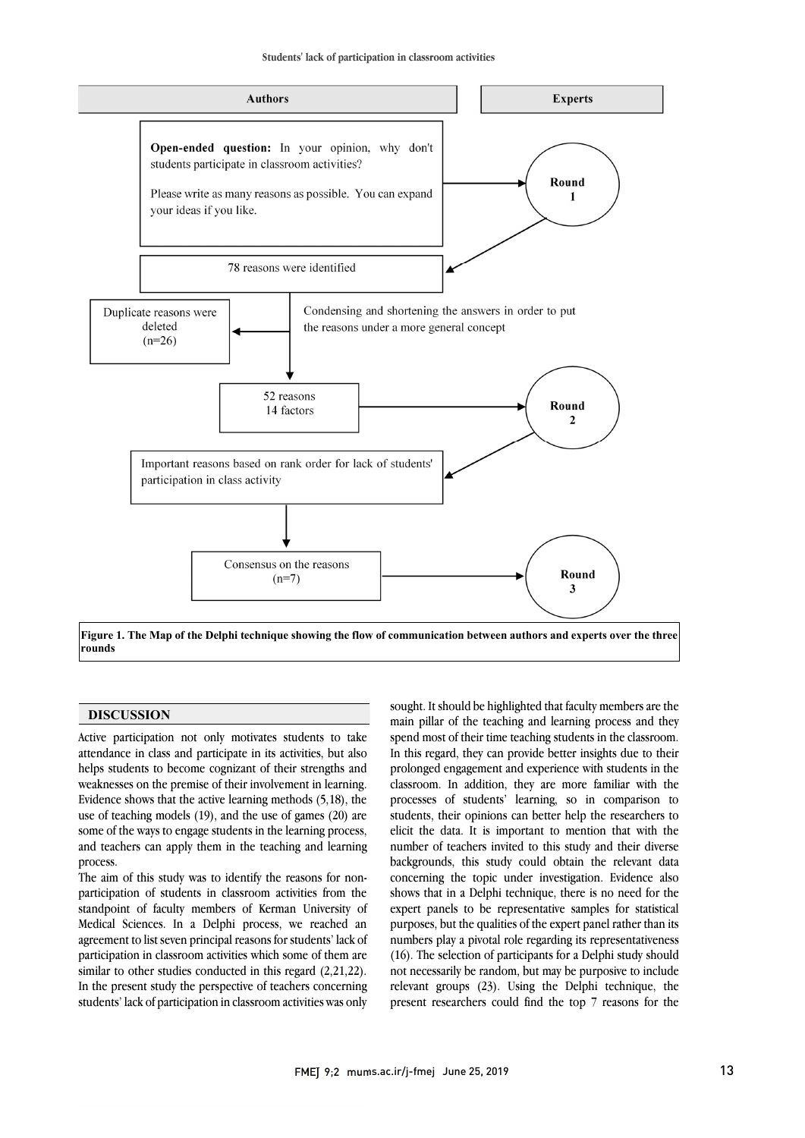

 **Figure 1. The Map of the Delphi technique showing the flow of communication between authors and experts over the three rounds**

### **DISCUSSION**

Active participation not only motivates students to take attendance in class and participate in its activities, but also helps students to become cognizant of their strengths and weaknesses on the premise of their involvement in learning. Evidence shows that the active learning methods (5,18), the use of teaching models (19), and the use of games (20) are some of the ways to engage students in the learning process, and teachers can apply them in the teaching and learning process.

The aim of this study was to identify the reasons for nonparticipation of students in classroom activities from the standpoint of faculty members of Kerman University of Medical Sciences. In a Delphi process, we reached an agreement to list seven principal reasons for students' lack of participation in classroom activities which some of them are similar to other studies conducted in this regard (2,21,22). In the present study the perspective of teachers concerning students' lack of participation in classroom activities was only

 sought. It should be highlighted that faculty members are the spend most of their time teaching students in the classroom. In this regard, they can provide better insights due to their prolonged engagement and experience with students in the classroom. In addition, they are more familiar with the elicit the data. It is important to mention that with the number of teachers invited to this study and their diverse backgrounds, this study could obtain the relevant data shows that in a Delphi technique, there is no need for the expert panels to be representative samples for statistical purposes, but the qualities of the expert panel rather than its main pillar of the teaching and learning process and they processes of students' learning, so in comparison to students, their opinions can better help the researchers to concerning the topic under investigation. Evidence also numbers play a pivotal role regarding its representativeness (16). The selection of participants for a Delphi study should not necessarily be random, but may be purposive to include relevant groups (23). Using the Delphi technique, the present researchers could find the top 7 reasons for the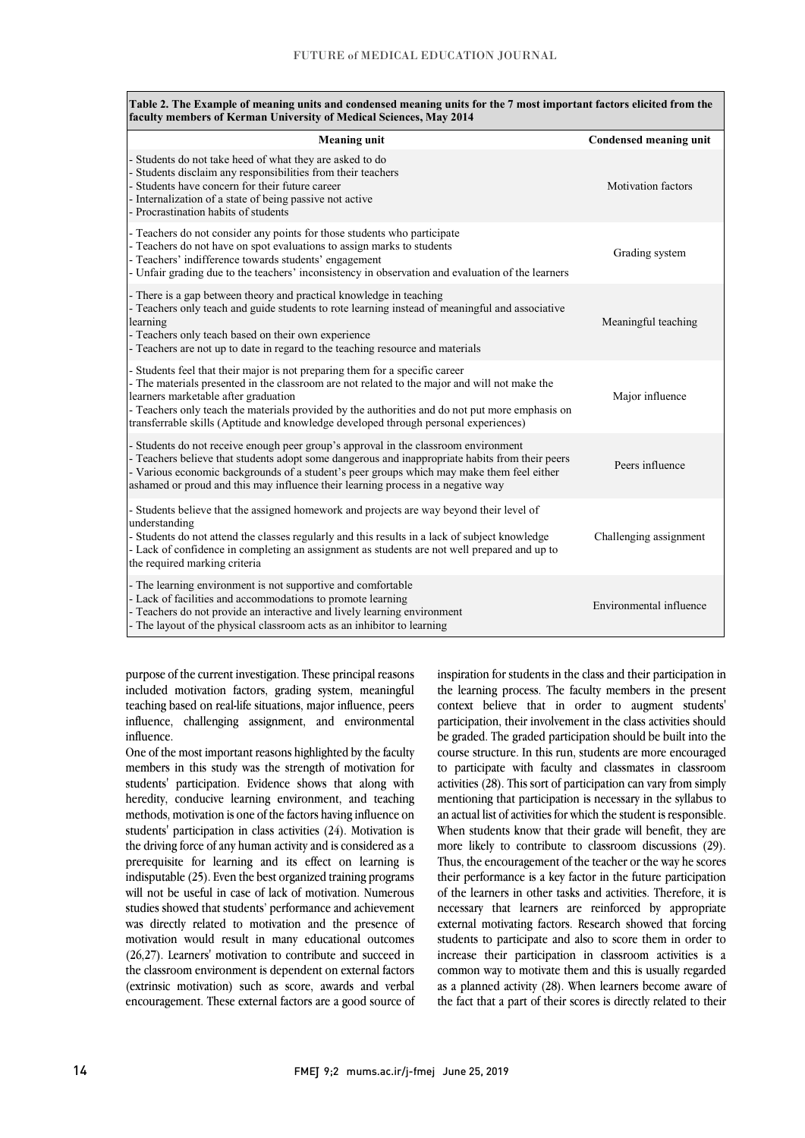| Table 2. The Example of meaning units and condensed meaning units for the 7 most important factors elicited from the<br>faculty members of Kerman University of Medical Sciences, May 2014                                                                                                                                                                                                                       |                         |  |  |  |
|------------------------------------------------------------------------------------------------------------------------------------------------------------------------------------------------------------------------------------------------------------------------------------------------------------------------------------------------------------------------------------------------------------------|-------------------------|--|--|--|
| <b>Meaning unit</b>                                                                                                                                                                                                                                                                                                                                                                                              | Condensed meaning unit  |  |  |  |
| Students do not take heed of what they are asked to do<br>Students disclaim any responsibilities from their teachers<br>Students have concern for their future career<br>- Internalization of a state of being passive not active<br>- Procrastination habits of students                                                                                                                                        | Motivation factors      |  |  |  |
| - Teachers do not consider any points for those students who participate<br>- Teachers do not have on spot evaluations to assign marks to students<br>- Teachers' indifference towards students' engagement<br>- Unfair grading due to the teachers' inconsistency in observation and evaluation of the learners                                                                                                 | Grading system          |  |  |  |
| - There is a gap between theory and practical knowledge in teaching<br>- Teachers only teach and guide students to rote learning instead of meaningful and associative<br>learning<br>- Teachers only teach based on their own experience<br>- Teachers are not up to date in regard to the teaching resource and materials                                                                                      | Meaningful teaching     |  |  |  |
| - Students feel that their major is not preparing them for a specific career<br>- The materials presented in the classroom are not related to the major and will not make the<br>learners marketable after graduation<br>- Teachers only teach the materials provided by the authorities and do not put more emphasis on<br>transferrable skills (Aptitude and knowledge developed through personal experiences) | Major influence         |  |  |  |
| - Students do not receive enough peer group's approval in the classroom environment<br>- Teachers believe that students adopt some dangerous and inappropriate habits from their peers<br>- Various economic backgrounds of a student's peer groups which may make them feel either<br>ashamed or proud and this may influence their learning process in a negative way                                          | Peers influence         |  |  |  |
| - Students believe that the assigned homework and projects are way beyond their level of<br>understanding<br>- Students do not attend the classes regularly and this results in a lack of subject knowledge<br>- Lack of confidence in completing an assignment as students are not well prepared and up to<br>the required marking criteria                                                                     | Challenging assignment  |  |  |  |
| - The learning environment is not supportive and comfortable<br>- Lack of facilities and accommodations to promote learning<br>- Teachers do not provide an interactive and lively learning environment<br>- The layout of the physical classroom acts as an inhibitor to learning                                                                                                                               | Environmental influence |  |  |  |

purpose of the current investigation. These principal reasons included motivation factors, grading system, meaningful teaching based on real-life situations, major influence, peers influence, challenging assignment, and environmental influence.

One of the most important reasons highlighted by the faculty members in this study was the strength of motivation for students' participation. Evidence shows that along with heredity, conducive learning environment, and teaching methods, motivation is one of the factors having influence on students' participation in class activities (24). Motivation is the driving force of any human activity and is considered as a prerequisite for learning and its effect on learning is indisputable (25). Even the best organized training programs will not be useful in case of lack of motivation. Numerous studies showed that students' performance and achievement was directly related to motivation and the presence of motivation would result in many educational outcomes (26,27). Learners' motivation to contribute and succeed in the classroom environment is dependent on external factors (extrinsic motivation) such as score, awards and verbal encouragement. These external factors are a good source of inspiration for students in the class and their participation in the learning process. The faculty members in the present context believe that in order to augment students' participation, their involvement in the class activities should be graded. The graded participation should be built into the course structure. In this run, students are more encouraged to participate with faculty and classmates in classroom activities (28). This sort of participation can vary from simply mentioning that participation is necessary in the syllabus to an actual list of activities for which the student is responsible. When students know that their grade will benefit, they are more likely to contribute to classroom discussions (29). Thus, the encouragement of the teacher or the way he scores their performance is a key factor in the future participation of the learners in other tasks and activities. Therefore, it is necessary that learners are reinforced by appropriate external motivating factors. Research showed that forcing students to participate and also to score them in order to increase their participation in classroom activities is a common way to motivate them and this is usually regarded as a planned activity (28). When learners become aware of the fact that a part of their scores is directly related to their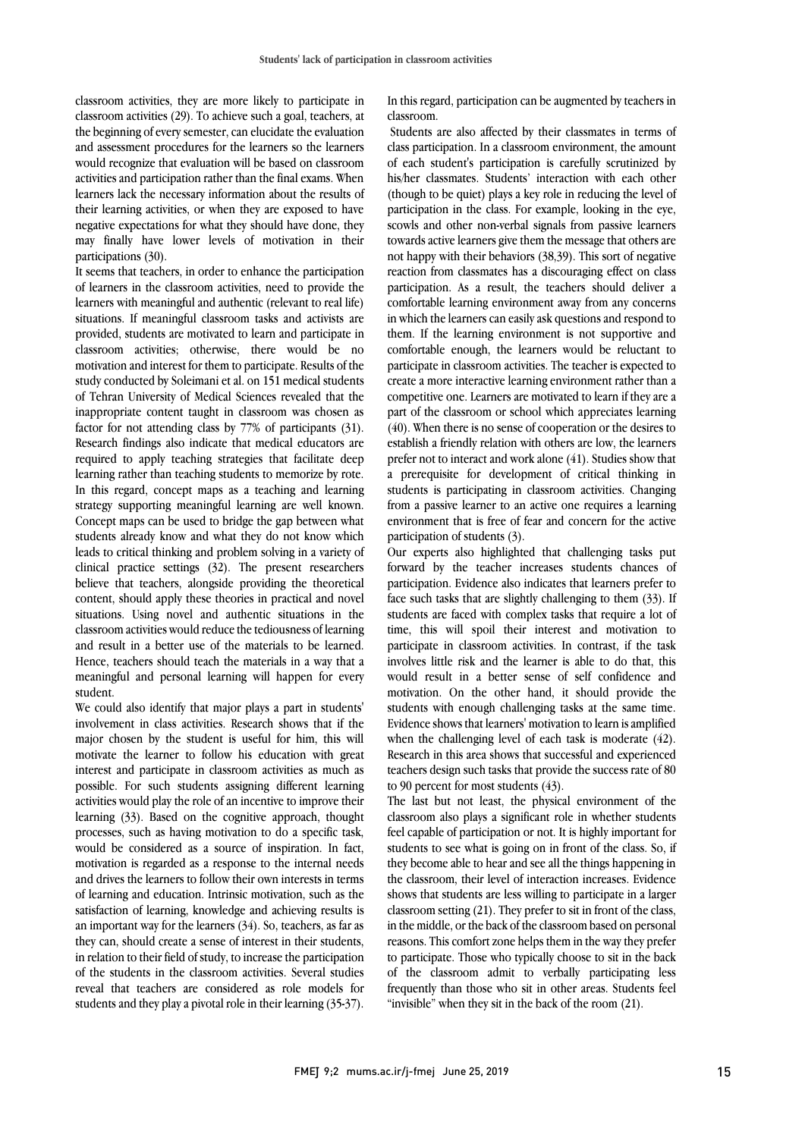classroom activities, they are more likely to participate in classroom activities (29). To achieve such a goal, teachers, at the beginning of every semester, can elucidate the evaluation and assessment procedures for the learners so the learners would recognize that evaluation will be based on classroom activities and participation rather than the final exams. When learners lack the necessary information about the results of their learning activities, or when they are exposed to have negative expectations for what they should have done, they may finally have lower levels of motivation in their participations (30).

It seems that teachers, in order to enhance the participation of learners in the classroom activities, need to provide the learners with meaningful and authentic (relevant to real life) situations. If meaningful classroom tasks and activists are provided, students are motivated to learn and participate in classroom activities; otherwise, there would be no motivation and interest for them to participate. Results of the study conducted by Soleimani et al. on 151 medical students of Tehran University of Medical Sciences revealed that the inappropriate content taught in classroom was chosen as factor for not attending class by 77% of participants (31). Research findings also indicate that medical educators are required to apply teaching strategies that facilitate deep learning rather than teaching students to memorize by rote. In this regard, concept maps as a teaching and learning strategy supporting meaningful learning are well known. Concept maps can be used to bridge the gap between what students already know and what they do not know which leads to critical thinking and problem solving in a variety of clinical practice settings (32). The present researchers believe that teachers, alongside providing the theoretical content, should apply these theories in practical and novel situations. Using novel and authentic situations in the classroom activities would reduce the tediousness of learning and result in a better use of the materials to be learned. Hence, teachers should teach the materials in a way that a meaningful and personal learning will happen for every student.

We could also identify that major plays a part in students' involvement in class activities. Research shows that if the major chosen by the student is useful for him, this will motivate the learner to follow his education with great interest and participate in classroom activities as much as possible. For such students assigning different learning activities would play the role of an incentive to improve their learning (33). Based on the cognitive approach, thought processes, such as having motivation to do a specific task, would be considered as a source of inspiration. In fact, motivation is regarded as a response to the internal needs and drives the learners to follow their own interests in terms of learning and education. Intrinsic motivation, such as the satisfaction of learning, knowledge and achieving results is an important way for the learners (34). So, teachers, as far as they can, should create a sense of interest in their students, in relation to their field of study, to increase the participation of the students in the classroom activities. Several studies reveal that teachers are considered as role models for students and they play a pivotal role in their learning (35-37). In this regard, participation can be augmented by teachers in classroom.

Students are also affected by their classmates in terms of class participation. In a classroom environment, the amount of each student's participation is carefully scrutinized by his/her classmates. Students' interaction with each other (though to be quiet) plays a key role in reducing the level of participation in the class. For example, looking in the eye, scowls and other non-verbal signals from passive learners towards active learners give them the message that others are not happy with their behaviors (38,39). This sort of negative reaction from classmates has a discouraging effect on class participation. As a result, the teachers should deliver a comfortable learning environment away from any concerns in which the learners can easily ask questions and respond to them. If the learning environment is not supportive and comfortable enough, the learners would be reluctant to participate in classroom activities. The teacher is expected to create a more interactive learning environment rather than a competitive one. Learners are motivated to learn if they are a part of the classroom or school which appreciates learning (40). When there is no sense of cooperation or the desires to establish a friendly relation with others are low, the learners prefer not to interact and work alone (41). Studies show that a prerequisite for development of critical thinking in students is participating in classroom activities. Changing from a passive learner to an active one requires a learning environment that is free of fear and concern for the active participation of students (3).

Our experts also highlighted that challenging tasks put forward by the teacher increases students chances of participation. Evidence also indicates that learners prefer to face such tasks that are slightly challenging to them (33). If students are faced with complex tasks that require a lot of time, this will spoil their interest and motivation to participate in classroom activities. In contrast, if the task involves little risk and the learner is able to do that, this would result in a better sense of self confidence and motivation. On the other hand, it should provide the students with enough challenging tasks at the same time. Evidence showsthat learners' motivation to learn is amplified when the challenging level of each task is moderate (42). Research in this area shows that successful and experienced teachers design such tasks that provide the success rate of 80 to 90 percent for most students (43).

The last but not least, the physical environment of the classroom also plays a significant role in whether students feel capable of participation or not. It is highly important for students to see what is going on in front of the class. So, if they become able to hear and see all the things happening in the classroom, their level of interaction increases. Evidence shows that students are less willing to participate in a larger classroom setting (21). They prefer to sit in front of the class, in the middle, or the back of the classroom based on personal reasons. This comfort zone helps them in the way they prefer to participate. Those who typically choose to sit in the back of the classroom admit to verbally participating less frequently than those who sit in other areas. Students feel "invisible" when they sit in the back of the room (21).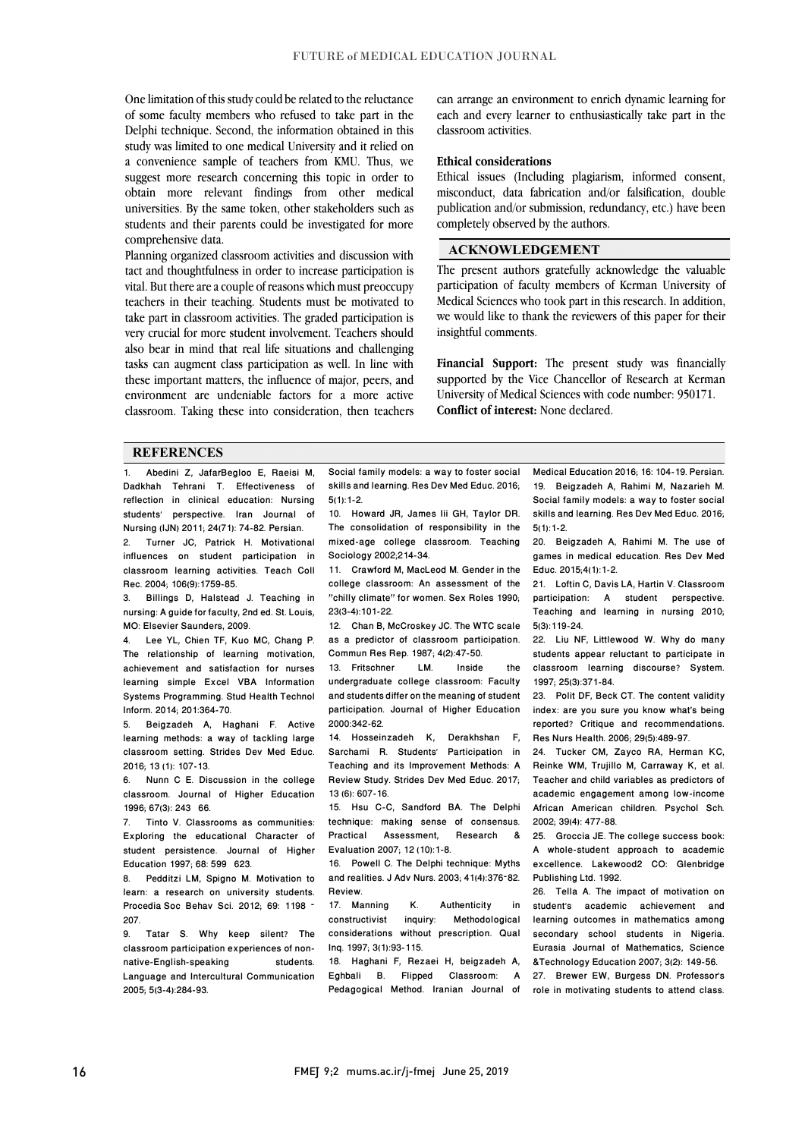One limitation of this study could be related to the reluctance of some faculty members who refused to take part in the Delphi technique. Second, the information obtained in this study was limited to one medical University and it relied on a convenience sample of teachers from KMU. Thus, we suggest more research concerning this topic in order to obtain more relevant findings from other medical universities. By the same token, other stakeholders such as students and their parents could be investigated for more comprehensive data.

Planning organized classroom activities and discussion with tact and thoughtfulness in order to increase participation is vital. But there are a couple of reasons which must preoccupy teachers in their teaching. Students must be motivated to take part in classroom activities. The graded participation is very crucial for more student involvement. Teachers should also bear in mind that real life situations and challenging tasks can augment class participation as well. In line with these important matters, the influence of major, peers, and environment are undeniable factors for a more active classroom. Taking these into consideration, then teachers can arrange an environment to enrich dynamic learning for each and every learner to enthusiastically take part in the classroom activities.

### **Ethical considerations**

Ethical issues (Including plagiarism, informed consent, misconduct, data fabrication and/or falsification, double publication and/or submission, redundancy, etc.) have been completely observed by the authors.

### **ACKNOWLEDGEMENT**

The present authors gratefully acknowledge the valuable participation of faculty members of Kerman University of Medical Sciences who took part in this research. In addition, we would like to thank the reviewers of this paper for their insightful comments.

**Financial Support:** The present study was financially supported by the Vice Chancellor of Research at Kerman University of Medical Sciences with code number: 950171. **Conflict of interest:** None declared.

### **REFERENCES**

1. Abedini Z, JafarBegloo E, Raeisi M, Dadkhah Tehrani T. Effectiveness of reflection in clinical education: Nursing students' perspective. Iran Journal of Nursing (IJN) 2011; 24(71): 74-82. Persian.<br>2 Turner JC. Patrick H. Motivation 2. Turner JC, Patrick H. Motivational

influences on student participation in classroom learning activities. Teach Coll Rec. 2004; 106(9):1759-85.

3. Billings D, Halstead J. Teaching in nursing: A guide for faculty, 2nd ed. St. Louis, MO: Elsevier Saunders, 2009.

4. Lee YL, Chien TF, Kuo MC, Chang P. The relationship of learning motivation, achievement and satisfaction for nurses learning simple Excel VBA Information Systems Programming. Stud Health Technol Inform. 2014; 201:364-70.

5. Beigzadeh A, Haghani F. Active learning methods: a way of tackling large classroom setting. Strides Dev Med Educ. 2016; 13 (1): 107-13.

6. Nunn C E. Discussion in the college classroom. Journal of Higher Education 1996; 67(3): 243 66.

7. Tinto V. Classrooms as communities: Exploring the educational Character of student persistence. Journal of Higher Education 1997; 68: 599 623.

8. Pedditzi LM, Spigno M. Motivation to learn: a research on university students. Procedia Soc Behav Sci. 2012; 69: 1198 – 207.

9. Tatar S. Why keep silent? The classroom participation experiences of nonnative-English-speaking students. Language and Intercultural Communication 2005; 5(3-4):284-93.

Social family models: a way to foster social skills and learning. Res Dev Med Educ. 2016; 5(1):1-2.

10. Howard JR, James Iii GH, Taylor DR. The consolidation of responsibility in the mixed-age college classroom. Teaching Sociology 2002;214-34.

11. Crawford M, MacLeod M. Gender in the college classroom: An assessment of the "chilly climate" for women. Sex Roles 1990; 23(3-4):101-22.

12. Chan B, McCroskey JC. The WTC scale as a predictor of classroom participation. Commun Res Rep. 1987; 4(2):47-50.

13. Fritschner LM. Inside the undergraduate college classroom: Faculty and students differ on the meaning of student participation. Journal of Higher Education 2000:342-62.

14. Hosseinzadeh K, Derakhshan F, Sarchami R. Students' Participation in Teaching and its Improvement Methods: A Review Study. Strides Dev Med Educ. 2017; 13 (6): 607-16.

15. Hsu C-C, Sandford BA. The Delphi technique: making sense of consensus.<br>Practical Assessment. Research & Research & Evaluation 2007; 12 (10):1-8.

16. Powell C. The Delphi technique: Myths and realities. J Adv Nurs. 2003; 41(4):376–82. Review.

17. Manning K. Authenticity in constructivist inquiry: Methodological considerations without prescription. Qual Inq. 1997; 3(1):93-115.

18. Haghani F, Rezaei H, beigzadeh A, Eghbali B. Flipped Classroom: A Pedagogical Method. Iranian Journal of Medical Education 2016; 16: 104-19. Persian. 19. Beigzadeh A, Rahimi M, Nazarieh M. Social family models: a way to foster social skills and learning. Res Dev Med Educ. 2016; 5(1):1-2.

20. Beigzadeh A, Rahimi M. The use of games in medical education. Res Dev Med Educ. 2015;4(1):1-2.

21. Loftin C, Davis LA, Hartin V. Classroom participation: A student perspective. Teaching and learning in nursing 2010; 5(3):119-24.

22. Liu NF, Littlewood W. Why do many students appear reluctant to participate in classroom learning discourse? System. 1997; 25(3):371-84.

23. Polit DF, Beck CT. The content validity index: are you sure you know what's being reported? Critique and recommendations. Res Nurs Health. 2006; 29(5):489-97.

24. Tucker CM, Zayco RA, Herman KC, Reinke WM, Trujillo M, Carraway K, et al. Teacher and child variables as predictors of academic engagement among low-income African American children. Psychol Sch. 2002; 39(4): 477-88.

25. Groccia JE. The college success book: A whole-student approach to academic excellence. Lakewood2 CO: Glenbridge Publishing Ltd. 1992.

26. Tella A. The impact of motivation on student's academic achievement and learning outcomes in mathematics among secondary school students in Nigeria. Eurasia Journal of Mathematics, Science &Technology Education 2007; 3(2): 149-56.

27. Brewer EW, Burgess DN. Professor's role in motivating students to attend class.